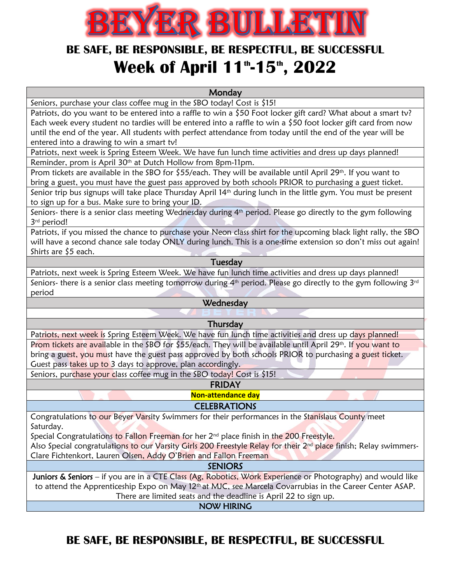

## **BE SAFE, BE RESPONSIBLE, BE RESPECTFUL, BE SUCCESSFUL Week of April 11th -15th , 2022**

**Monday** 

Seniors, purchase your class coffee mug in the SBO today! Cost is \$15!

Patriots, do you want to be entered into a raffle to win a \$50 Foot locker gift card? What about a smart tv? Each week every student no tardies will be entered into a raffle to win a \$50 foot locker gift card from now until the end of the year. All students with perfect attendance from today until the end of the year will be entered into a drawing to win a smart tv!

Patriots, next week is Spring Esteem Week. We have fun lunch time activities and dress up days planned! Reminder, prom is April 30<sup>th</sup> at Dutch Hollow from 8pm-11pm.

Prom tickets are available in the SBO for \$55/each. They will be available until April 29<sup>th</sup>. If you want to bring a guest, you must have the guest pass approved by both schools PRIOR to purchasing a guest ticket.

Senior trip bus signups will take place Thursday April 14<sup>th</sup> during lunch in the little gym. You must be present to sign up for a bus. Make sure to bring your ID.

Seniors- there is a senior class meeting Wednesday during 4<sup>th</sup> period. Please go directly to the gym following 3rd period!

Patriots, if you missed the chance to purchase your Neon class shirt for the upcoming black light rally, the SBO will have a second chance sale today ONLY during lunch. This is a one-time extension so don't miss out again! Shirts are \$5 each.

#### Tuesday

Patriots, next week is Spring Esteem Week. We have fun lunch time activities and dress up days planned! Seniors- there is a senior class meeting tomorrow during  $4<sup>th</sup>$  period. Please go directly to the gym following  $3<sup>rd</sup>$ period

### **Wednesday**

**Thursday** 

Patriots, next week is Spring Esteem Week. We have fun lunch time activities and dress up days planned! Prom tickets are available in the SBO for \$55/each. They will be available until April 29<sup>th</sup>. If you want to bring a guest, you must have the guest pass approved by both schools PRIOR to purchasing a guest ticket. Guest pass takes up to 3 days to approve, plan accordingly.

Seniors, purchase your class coffee mug in the SBO today! Cost is \$15!

FRIDAY

**Non-attendance day**

### **CELEBRATIONS**

Congratulations to our Beyer Varsity Swimmers for their performances in the Stanislaus County meet Saturday.

Special Congratulations to Fallon Freeman for her 2<sup>nd</sup> place finish in the 200 Freestyle.

Also Special congratulations to our Varsity Girls 200 Freestyle Relay for their 2<sup>nd</sup> place finish; Relay swimmers-Clare Fichtenkort, Lauren Olsen, Addy O'Brien and Fallon Freeman

**SENIORS** 

Juniors & Seniors – if you are in a CTE Class (Ag, Robotics, Work Experience or Photography) and would like to attend the Apprenticeship Expo on May 12<sup>th</sup> at MJC, see Marcela Covarrubias in the Career Center ASAP. There are limited seats and the deadline is April 22 to sign up.

NOW HIRING

### **BE SAFE, BE RESPONSIBLE, BE RESPECTFUL, BE SUCCESSFUL**